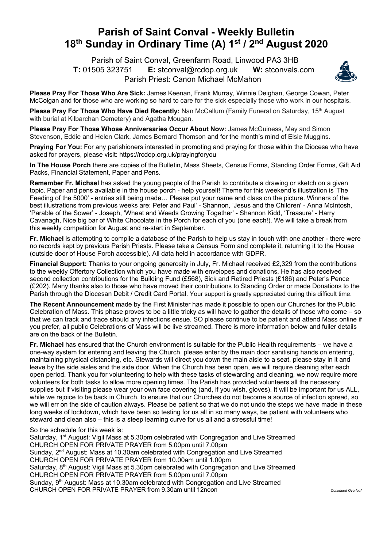## **Parish of Saint Conval - Weekly Bulletin 18th Sunday in Ordinary Time (A) 1st / 2nd August 2020**

 Parish of Saint Conval, Greenfarm Road, Linwood PA3 3HB **T:** 01505 323751 **E:** stconval@rcdop.org.uk **W:** stconvals.com Parish Priest: Canon Michael McMahon



**Please Pray For Those Who Are Sick:** James Keenan, Frank Murray, Winnie Deighan, George Cowan, Peter McColgan and for those who are working so hard to care for the sick especially those who work in our hospitals.

**Please Pray For Those Who Have Died Recently:** Nan McCallum (Family Funeral on Saturday, 15th August with burial at Kilbarchan Cemetery) and Agatha Mougan.

**Please Pray For Those Whose Anniversaries Occur About Now:** James McGuiness, May and Simon Stevenson, Eddie and Helen Clark, James Bernard Thomson and for the month's mind of Elsie Muggins.

**Praying For You:** For any parishioners interested in promoting and praying for those within the Diocese who have asked for prayers, please visit: https://rcdop.org.uk/prayingforyou

**In The House Porch** there are copies of the Bulletin, Mass Sheets, Census Forms, Standing Order Forms, Gift Aid Packs, Financial Statement, Paper and Pens.

**Remember Fr. Michael** has asked the young people of the Parish to contribute a drawing or sketch on a given topic. Paper and pens available in the house porch - help yourself! Theme for this weekend's illustration is 'The Feeding of the 5000' - entries still being made… Please put your name and class on the picture. Winners of the best illustrations from previous weeks are: Peter and Paul' - Shannon, 'Jesus and the Children' - Anna McIntosh, 'Parable of the Sower' - Joseph, 'Wheat and Weeds Growing Together' - Shannon Kidd, 'Treasure' - Harry Cavanagh, Nice big bar of White Chocolate in the Porch for each of you (one each!). We will take a break from this weekly competition for August and re-start in September.

**Fr. Michael** is attempting to compile a database of the Parish to help us stay in touch with one another - there were no records kept by previous Parish Priests. Please take a Census Form and complete it, returning it to the House (outside door of House Porch accessible). All data held in accordance with GDPR.

**Financial Support:** Thanks to your ongoing generosity in July, Fr. Michael received £2,329 from the contributions to the weekly Offertory Collection which you have made with envelopes and donations. He has also received second collection contributions for the Building Fund (£568), Sick and Retired Priests (£186) and Peter's Pence (£202). Many thanks also to those who have moved their contributions to Standing Order or made Donations to the Parish through the Diocesan Debit / Credit Card Portal. Your support is greatly appreciated during this difficult time.

**The Recent Announcement** made by the First Minister has made it possible to open our Churches for the Public Celebration of Mass. This phase proves to be a little tricky as will have to gather the details of those who come – so that we can track and trace should any infections ensue. SO please continue to be patient and attend Mass online if you prefer, all public Celebrations of Mass will be live streamed. There is more information below and fuller details are on the back of the Bulletin.

**Fr. Michael** has ensured that the Church environment is suitable for the Public Health requirements – we have a one-way system for entering and leaving the Church, please enter by the main door sanitising hands on entering, maintaining physical distancing, etc. Stewards will direct you down the main aisle to a seat, please stay in it and leave by the side aisles and the side door. When the Church has been open, we will require cleaning after each open period. Thank you for volunteering to help with these tasks of stewarding and cleaning, we now require more volunteers for both tasks to allow more opening times. The Parish has provided volunteers all the necessary supplies but if visiting please wear your own face covering (and, if you wish, gloves). It will be important for us ALL, while we rejoice to be back in Church, to ensure that our Churches do not become a source of infection spread, so we will err on the side of caution always. Please be patient so that we do not undo the steps we have made in these long weeks of lockdown, which have been so testing for us all in so many ways, be patient with volunteers who steward and clean also – this is a steep learning curve for us all and a stressful time!

So the schedule for this week is:

Saturday, 1<sup>st</sup> August: Vigil Mass at 5.30pm celebrated with Congregation and Live Streamed CHURCH OPEN FOR PRIVATE PRAYER from 5.00pm until 7.00pm Sunday, 2<sup>nd</sup> August: Mass at 10.30am celebrated with Congregation and Live Streamed CHURCH OPEN FOR PRIVATE PRAYER from 10.00am until 1.00pm Saturday, 8<sup>th</sup> August: Vigil Mass at 5.30pm celebrated with Congregation and Live Streamed CHURCH OPEN FOR PRIVATE PRAYER from 5.00pm until 7.00pm Sunday,  $9<sup>th</sup>$  August: Mass at 10.30am celebrated with Congregation and Live Streamed CHURCH OPEN FOR PRIVATE PRAYER from 9.30am until 12noon *Continued Overleaf*